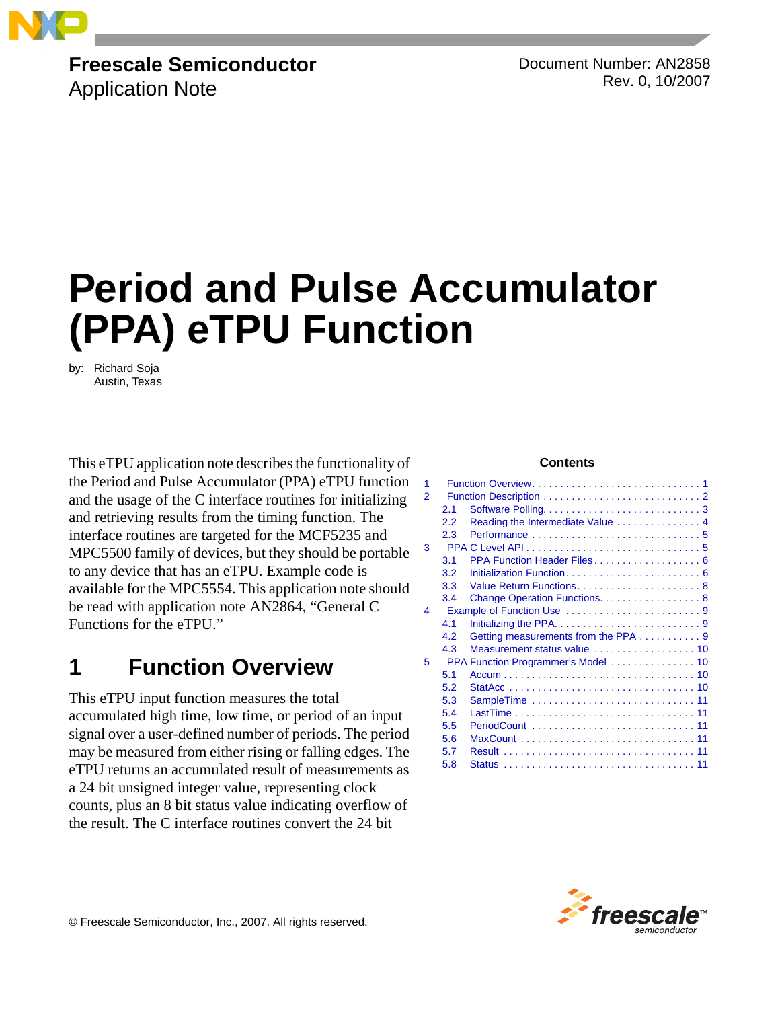

# **Freescale Semiconductor**

Application Note

Document Number: AN2858 Rev. 0, 10/2007

# **Period and Pulse Accumulator (PPA) eTPU Function**

by: Richard Soja Austin, Texas

This eTPU application note describes the functionality of the Period and Pulse Accumulator (PPA) eTPU function and the usage of the C interface routines for initializing and retrieving results from the timing function. The interface routines are targeted for the MCF5235 and MPC5500 family of devices, but they should be portable to any device that has an eTPU. Example code is available for the MPC5554. This application note should be read with application note AN2864, "General C Functions for the eTPU."

## <span id="page-0-0"></span>**1 Function Overview**

This eTPU input function measures the total accumulated high time, low time, or period of an input signal over a user-defined number of periods. The period may be measured from either rising or falling edges. The eTPU returns an accumulated result of measurements as a 24 bit unsigned integer value, representing clock counts, plus an 8 bit status value indicating overflow of the result. The C interface routines convert the 24 bit

#### **Contents**

| 1             |                           |                                     |
|---------------|---------------------------|-------------------------------------|
| $\mathcal{P}$ |                           |                                     |
|               | 2.1                       |                                     |
|               | 2.2                       | Reading the Intermediate Value 4    |
|               | 2.3                       |                                     |
| 3             |                           |                                     |
|               | 3.1                       | PPA Function Header Files 6         |
|               | 3.2                       |                                     |
|               | 3.3                       | Value Return Functions 8            |
|               | 3.4                       | Change Operation Functions. 8       |
| 4             | Example of Function Use 9 |                                     |
|               | 4.1                       |                                     |
|               | 4.2                       | Getting measurements from the PPA 9 |
|               | 4.3                       |                                     |
| 5             |                           |                                     |
|               | 5.1                       |                                     |
|               | 5.2                       |                                     |
|               | 5.3                       |                                     |
|               | 5.4                       |                                     |
|               | 5.5                       |                                     |
|               | 5.6                       |                                     |
|               | 5.7                       |                                     |
|               | 5.8                       |                                     |



© Freescale Semiconductor, Inc., 2007. All rights reserved.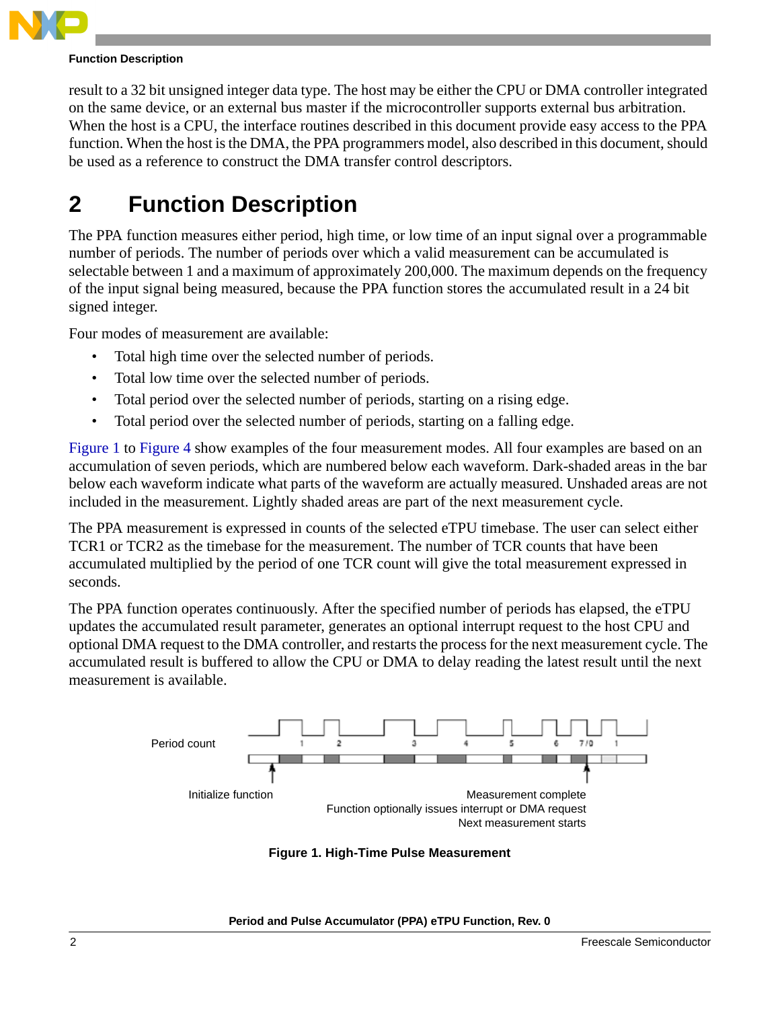

#### **Function Description**

result to a 32 bit unsigned integer data type. The host may be either the CPU or DMA controller integrated on the same device, or an external bus master if the microcontroller supports external bus arbitration. When the host is a CPU, the interface routines described in this document provide easy access to the PPA function. When the host is the DMA, the PPA programmers model, also described in this document, should be used as a reference to construct the DMA transfer control descriptors.

# <span id="page-1-0"></span>**2 Function Description**

The PPA function measures either period, high time, or low time of an input signal over a programmable number of periods. The number of periods over which a valid measurement can be accumulated is selectable between 1 and a maximum of approximately 200,000. The maximum depends on the frequency of the input signal being measured, because the PPA function stores the accumulated result in a 24 bit signed integer.

Four modes of measurement are available:

- Total high time over the selected number of periods.
- Total low time over the selected number of periods.
- Total period over the selected number of periods, starting on a rising edge.
- Total period over the selected number of periods, starting on a falling edge.

[Figure 1](#page-1-1) to [Figure 4](#page-2-1) show examples of the four measurement modes. All four examples are based on an accumulation of seven periods, which are numbered below each waveform. Dark-shaded areas in the bar below each waveform indicate what parts of the waveform are actually measured. Unshaded areas are not included in the measurement. Lightly shaded areas are part of the next measurement cycle.

The PPA measurement is expressed in counts of the selected eTPU timebase. The user can select either TCR1 or TCR2 as the timebase for the measurement. The number of TCR counts that have been accumulated multiplied by the period of one TCR count will give the total measurement expressed in seconds.

The PPA function operates continuously. After the specified number of periods has elapsed, the eTPU updates the accumulated result parameter, generates an optional interrupt request to the host CPU and optional DMA request to the DMA controller, and restarts the process for the next measurement cycle. The accumulated result is buffered to allow the CPU or DMA to delay reading the latest result until the next measurement is available.

<span id="page-1-1"></span>

**Figure 1. High-Time Pulse Measurement**

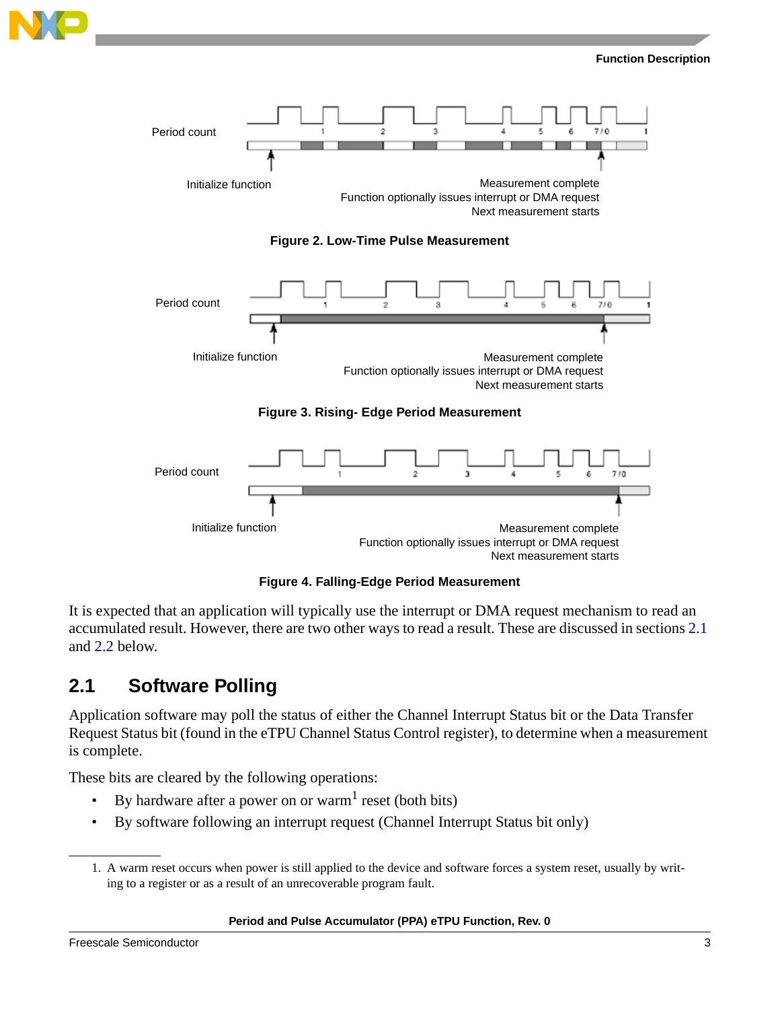





**Figure 4. Falling-Edge Period Measurement**

<span id="page-2-1"></span>It is expected that an application will typically use the interrupt or DMA request mechanism to read an accumulated result. However, there are two other ways to read a result. These are discussed in sections [2.1](#page-2-0) and [2.2](#page-3-0) below.

### <span id="page-2-0"></span>**2.1 Software Polling**

Application software may poll the status of either the Channel Interrupt Status bit or the Data Transfer Request Status bit (found in the eTPU Channel Status Control register), to determine when a measurement is complete.

These bits are cleared by the following operations:

- By hardware after a power on or warm<sup>1</sup> reset (both bits)
- By software following an interrupt request (Channel Interrupt Status bit only)

#### **Period and Pulse Accumulator (PPA) eTPU Function, Rev. 0**

<sup>1.</sup> A warm reset occurs when power is still applied to the device and software forces a system reset, usually by writing to a register or as a result of an unrecoverable program fault.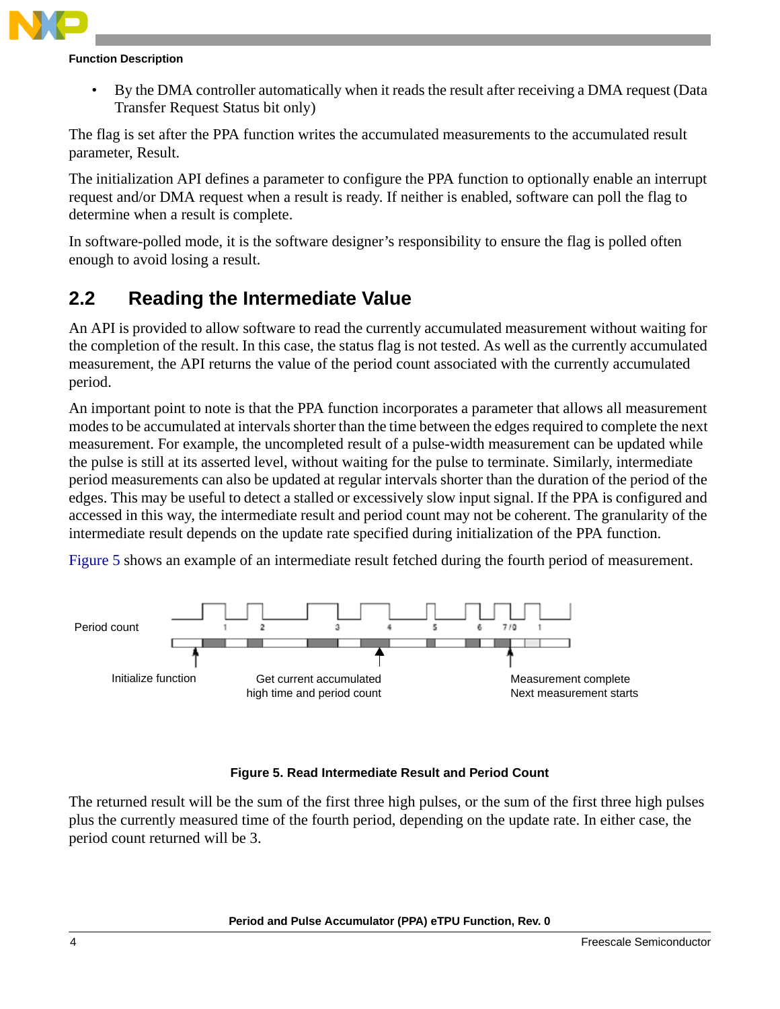

#### **Function Description**

• By the DMA controller automatically when it reads the result after receiving a DMA request (Data Transfer Request Status bit only)

The flag is set after the PPA function writes the accumulated measurements to the accumulated result parameter, [Result](#page-10-4).

The initialization API defines a parameter to configure the PPA function to optionally enable an interrupt request and/or DMA request when a result is ready. If neither is enabled, software can poll the flag to determine when a result is complete.

In software-polled mode, it is the software designer's responsibility to ensure the flag is polled often enough to avoid losing a result.

### <span id="page-3-0"></span>**2.2 Reading the Intermediate Value**

An API is provided to allow software to read the currently accumulated measurement without waiting for the completion of the result. In this case, the status flag is not tested. As well as the currently accumulated measurement, the API returns the value of the period count associated with the currently accumulated period.

An important point to note is that the PPA function incorporates a parameter that allows all measurement modes to be accumulated at intervals shorter than the time between the edges required to complete the next measurement. For example, the uncompleted result of a pulse-width measurement can be updated while the pulse is still at its asserted level, without waiting for the pulse to terminate. Similarly, intermediate period measurements can also be updated at regular intervals shorter than the duration of the period of the edges. This may be useful to detect a stalled or excessively slow input signal. If the PPA is configured and accessed in this way, the intermediate result and period count may not be coherent. The granularity of the intermediate result depends on the update rate specified during initialization of the PPA function.

[Figure 5](#page-3-1) shows an example of an intermediate result fetched during the fourth period of measurement.



#### **Figure 5. Read Intermediate Result and Period Count**

<span id="page-3-1"></span>The returned result will be the sum of the first three high pulses, or the sum of the first three high pulses plus the currently measured time of the fourth period, depending on the update rate. In either case, the period count returned will be 3.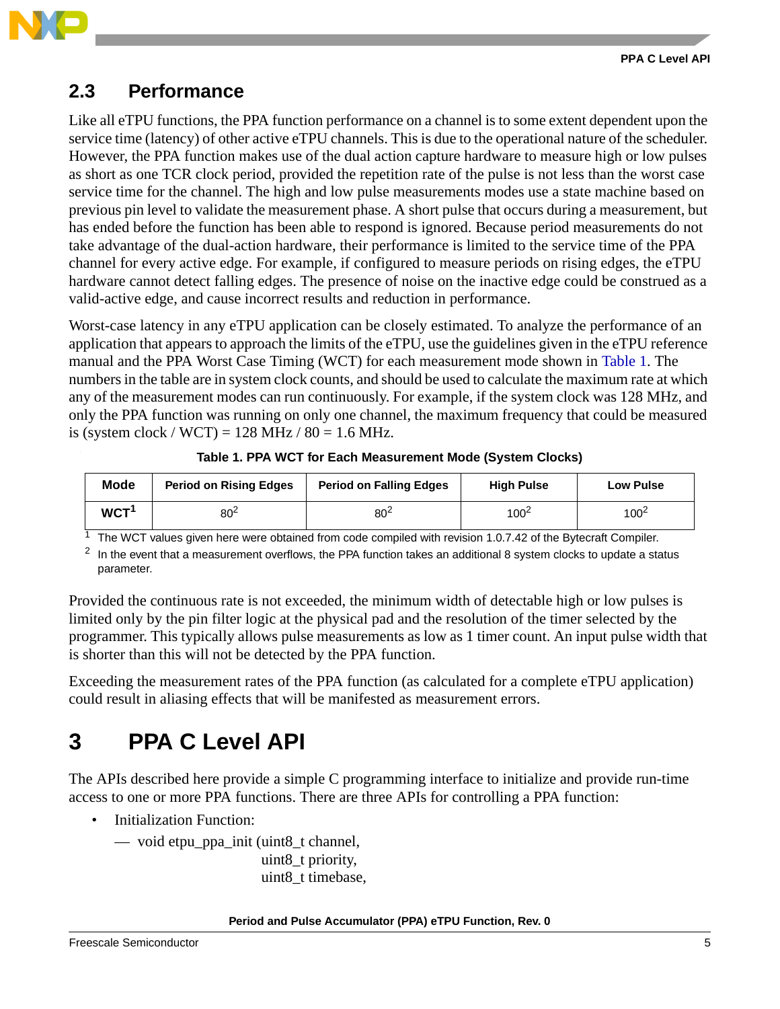

### <span id="page-4-0"></span>**2.3 Performance**

Like all eTPU functions, the PPA function performance on a channel is to some extent dependent upon the service time (latency) of other active eTPU channels. This is due to the operational nature of the scheduler. However, the PPA function makes use of the dual action capture hardware to measure high or low pulses as short as one TCR clock period, provided the repetition rate of the pulse is not less than the worst case service time for the channel. The high and low pulse measurements modes use a state machine based on previous pin level to validate the measurement phase. A short pulse that occurs during a measurement, but has ended before the function has been able to respond is ignored. Because period measurements do not take advantage of the dual-action hardware, their performance is limited to the service time of the PPA channel for every active edge. For example, if configured to measure periods on rising edges, the eTPU hardware cannot detect falling edges. The presence of noise on the inactive edge could be construed as a valid-active edge, and cause incorrect results and reduction in performance.

Worst-case latency in any eTPU application can be closely estimated. To analyze the performance of an application that appears to approach the limits of the eTPU, use the guidelines given in the eTPU reference manual and the PPA Worst Case Timing (WCT) for each measurement mode shown in Table 1. The numbers in the table are in system clock counts, and should be used to calculate the maximum rate at which any of the measurement modes can run continuously. For example, if the system clock was 128 MHz, and only the PPA function was running on only one channel, the maximum frequency that could be measured is (system clock / WCT) = 128 MHz / 80 = 1.6 MHz.

| <b>Mode</b>      | <b>Period on Rising Edges</b> | <b>Period on Falling Edges</b> | <b>High Pulse</b> | <b>Low Pulse</b> |
|------------------|-------------------------------|--------------------------------|-------------------|------------------|
| WCT <sup>1</sup> | 80 <sup>2</sup>               | 80 <sup>2</sup>                | $100^2$           | 100 <sup>2</sup> |

**Table 1. PPA WCT for Each Measurement Mode (System Clocks)**

The WCT values given here were obtained from code compiled with revision 1.0.7.42 of the Bytecraft Compiler.

<span id="page-4-2"></span> $2\;$  In the event that a measurement overflows, the PPA function takes an additional 8 system clocks to update a status parameter.

Provided the continuous rate is not exceeded, the minimum width of detectable high or low pulses is limited only by the pin filter logic at the physical pad and the resolution of the timer selected by the programmer. This typically allows pulse measurements as low as 1 timer count. An input pulse width that is shorter than this will not be detected by the PPA function.

Exceeding the measurement rates of the PPA function (as calculated for a complete eTPU application) could result in aliasing effects that will be manifested as measurement errors.

# <span id="page-4-1"></span>**3 PPA C Level API**

The APIs described here provide a simple C programming interface to initialize and provide run-time access to one or more PPA functions. There are three APIs for controlling a PPA function:

• Initialization Function:

— void etpu\_ppa\_init (uint8\_t channel,

uint8\_t priority, uint8 t timebase,

#### **Period and Pulse Accumulator (PPA) eTPU Function, Rev. 0**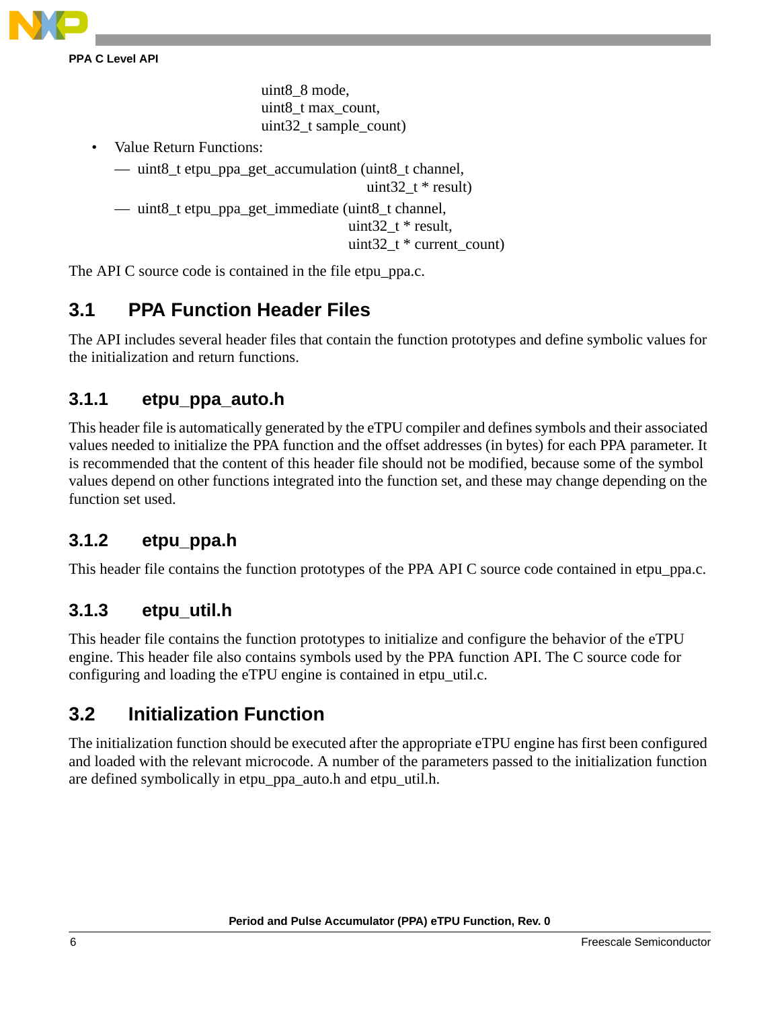

**PPA C Level API**

uint8\_8 mode, uint8\_t max\_count, uint32\_t sample\_count)

• Value Return Functions:

```
— uint8 t etpu ppa get accumulation (uint8 t channel,
```

```
uint 32 \t t * result
```

```
— uint8_t etpu_ppa_get_immediate (uint8_t channel,
```

```
uint 32 \t t * \text{result},
```
uint32  $t *$  current count)

The API C source code is contained in the file etpu\_ppa.c.

### <span id="page-5-0"></span>**3.1 PPA Function Header Files**

The API includes several header files that contain the function prototypes and define symbolic values for the initialization and return functions.

### <span id="page-5-2"></span>**3.1.1 etpu\_ppa\_auto.h**

This header file is automatically generated by the eTPU compiler and defines symbols and their associated values needed to initialize the PPA function and the offset addresses (in bytes) for each PPA parameter. It is recommended that the content of this header file should not be modified, because some of the symbol values depend on other functions integrated into the function set, and these may change depending on the function set used.

### **3.1.2 etpu\_ppa.h**

This header file contains the function prototypes of the PPA API C source code contained in etpu ppa.c.

### <span id="page-5-3"></span>**3.1.3 etpu\_util.h**

This header file contains the function prototypes to initialize and configure the behavior of the eTPU engine. This header file also contains symbols used by the PPA function API. The C source code for configuring and loading the eTPU engine is contained in etpu\_util.c.

### <span id="page-5-1"></span>**3.2 Initialization Function**

The initialization function should be executed after the appropriate eTPU engine has first been configured and loaded with the relevant microcode. A number of the parameters passed to the initialization function are defined symbolically in [etpu\\_ppa\\_auto.h](#page-5-2) and [etpu\\_util.h](#page-5-3).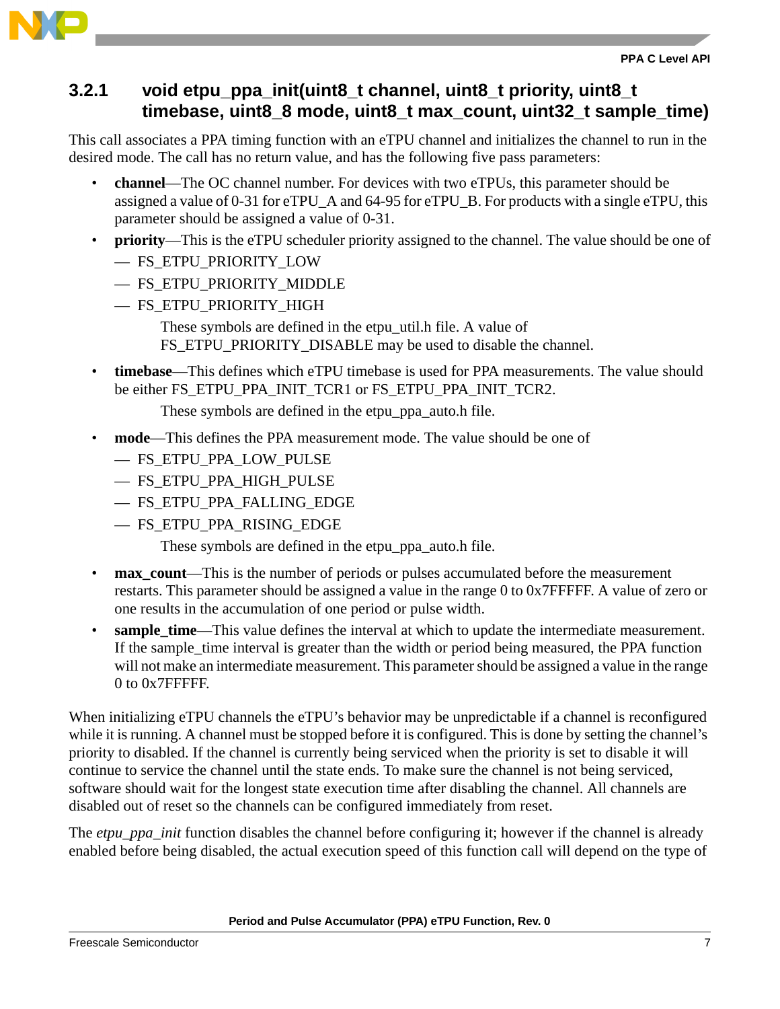

### <span id="page-6-0"></span>**3.2.1 void etpu\_ppa\_init(uint8\_t channel, uint8\_t priority, uint8\_t timebase, uint8\_8 mode, uint8\_t max\_count, uint32\_t sample\_time)**

This call associates a PPA timing function with an eTPU channel and initializes the channel to run in the desired mode. The call has no return value, and has the following five pass parameters:

- **channel**—The OC channel number. For devices with two eTPUs, this parameter should be assigned a value of 0-31 for eTPU\_A and 64-95 for eTPU\_B. For products with a single eTPU, this parameter should be assigned a value of 0-31.
- **priority**—This is the eTPU scheduler priority assigned to the channel. The value should be one of — FS\_ETPU\_PRIORITY\_LOW
	- FS\_ETPU\_PRIORITY\_MIDDLE
	- FS\_ETPU\_PRIORITY\_HIGH

These symbols are defined in the etpu util.h file. A value of FS ETPU PRIORITY DISABLE may be used to disable the channel.

• **timebase**—This defines which eTPU timebase is used for PPA measurements. The value should be either FS\_ETPU\_PPA\_INIT\_TCR1 or FS\_ETPU\_PPA\_INIT\_TCR2.

These symbols are defined in the etpu ppa auto.h file.

- **mode**—This defines the PPA measurement mode. The value should be one of
	- FS\_ETPU\_PPA\_LOW\_PULSE
	- FS\_ETPU\_PPA\_HIGH\_PULSE
	- FS\_ETPU\_PPA\_FALLING\_EDGE
	- FS\_ETPU\_PPA\_RISING\_EDGE

These symbols are defined in the [etpu\\_ppa\\_auto.h](#page-5-2) file.

- **max\_count**—This is the number of periods or pulses accumulated before the measurement restarts. This parameter should be assigned a value in the range 0 to 0x7FFFFF. A value of zero or one results in the accumulation of one period or pulse width.
- **sample time—This value defines the interval at which to update the intermediate measurement.** If the sample time interval is greater than the width or period being measured, the PPA function will not make an intermediate measurement. This parameter should be assigned a value in the range 0 to 0x7FFFFF.

When initializing eTPU channels the eTPU's behavior may be unpredictable if a channel is reconfigured while it is running. A channel must be stopped before it is configured. This is done by setting the channel's priority to disabled. If the channel is currently being serviced when the priority is set to disable it will continue to service the channel until the state ends. To make sure the channel is not being serviced, software should wait for the longest state execution time after disabling the channel. All channels are disabled out of reset so the channels can be configured immediately from reset.

The *etpu\_ppa\_init* function disables the channel before configuring it; however if the channel is already enabled before being disabled, the actual execution speed of this function call will depend on the type of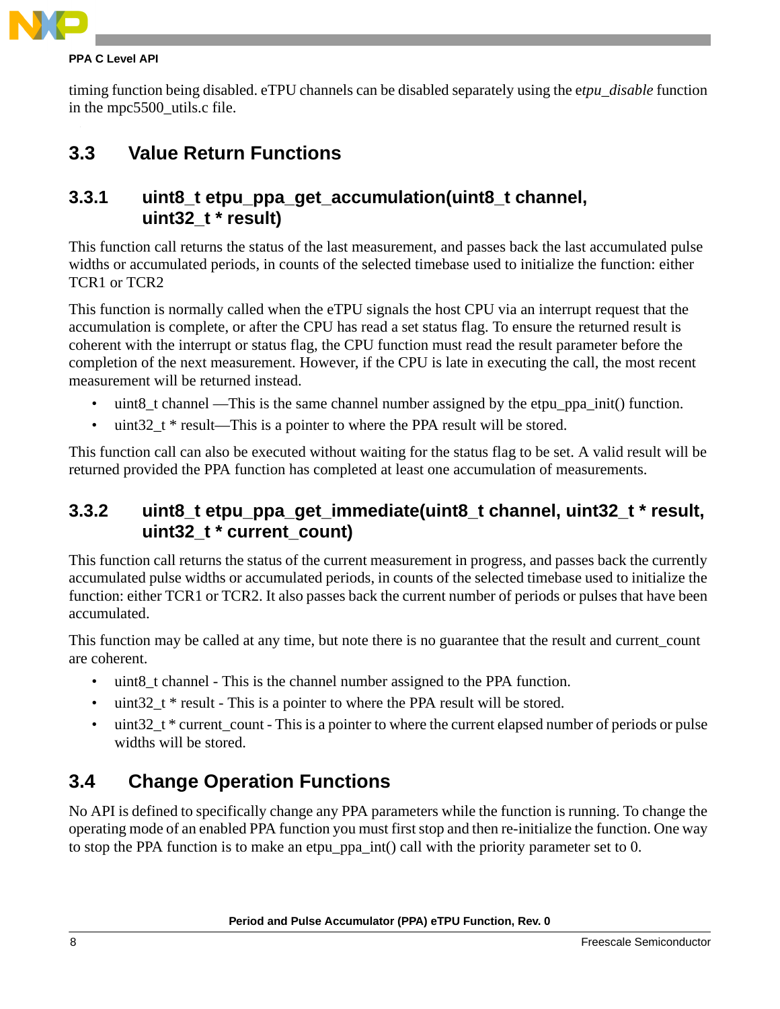

#### **PPA C Level API**

timing function being disabled. eTPU channels can be disabled separately using the e*tpu\_disable* function in the mpc5500 utils.c file.

### <span id="page-7-0"></span>**3.3 Value Return Functions**

### **3.3.1 uint8\_t etpu\_ppa\_get\_accumulation(uint8\_t channel, uint32\_t \* result)**

This function call returns the status of the last measurement, and passes back the last accumulated pulse widths or accumulated periods, in counts of the selected timebase used to initialize the function: either TCR1 or TCR2

This function is normally called when the eTPU signals the host CPU via an interrupt request that the accumulation is complete, or after the CPU has read a set status flag. To ensure the returned result is coherent with the interrupt or status flag, the CPU function must read the result parameter before the completion of the next measurement. However, if the CPU is late in executing the call, the most recent measurement will be returned instead.

- uint8\_t channel —This is the same channel number assigned by the etpu\_ppa\_init() function.
- uint32<sub>\_t</sub> \* result—This is a pointer to where the PPA result will be stored.

This function call can also be executed without waiting for the status flag to be set. A valid result will be returned provided the PPA function has completed at least one accumulation of measurements.

### **3.3.2 uint8\_t etpu\_ppa\_get\_immediate(uint8\_t channel, uint32\_t \* result, uint32\_t \* current\_count)**

This function call returns the status of the current measurement in progress, and passes back the currently accumulated pulse widths or accumulated periods, in counts of the selected timebase used to initialize the function: either TCR1 or TCR2. It also passes back the current number of periods or pulses that have been accumulated.

This function may be called at any time, but note there is no guarantee that the result and current\_count are coherent.

- uint8 t channel This is the channel number assigned to the PPA function.
- uint 32  $t * result This is a pointer to where the PPA result will be stored.$
- uint32  $t *$  current count This is a pointer to where the current elapsed number of periods or pulse widths will be stored.

### <span id="page-7-1"></span>**3.4 Change Operation Functions**

No API is defined to specifically change any PPA parameters while the function is running. To change the operating mode of an enabled PPA function you must first stop and then re-initialize the function. One way to stop the PPA function is to make an etpu\_ppa\_int() call with the priority parameter set to 0.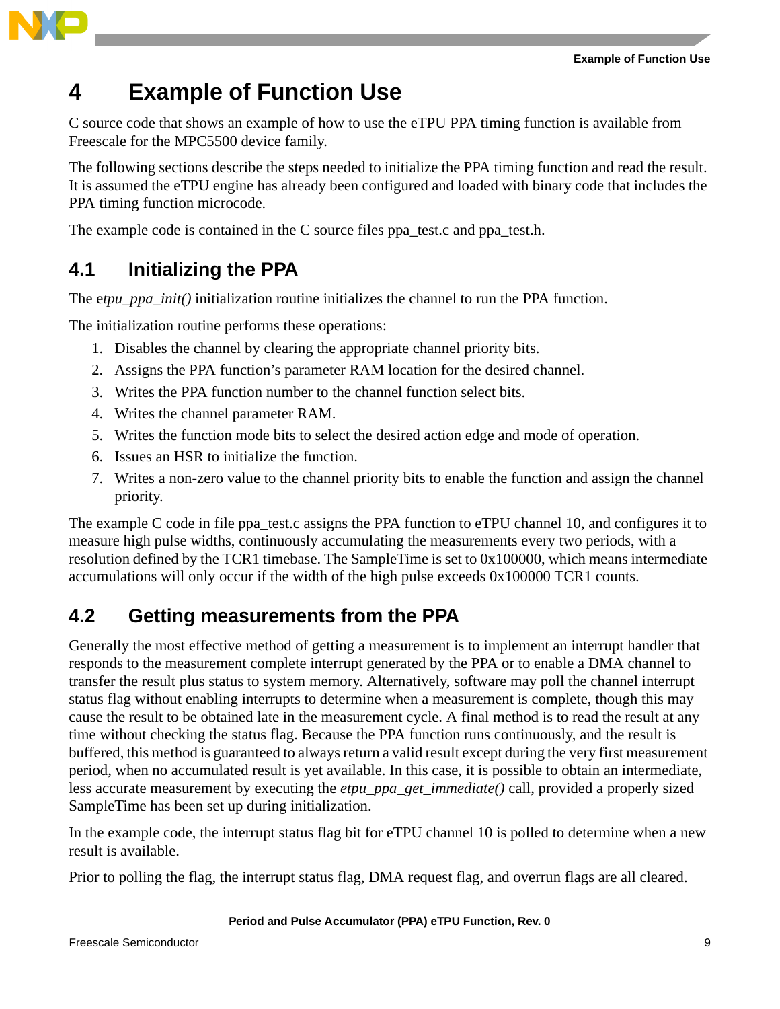

# <span id="page-8-0"></span>**4 Example of Function Use**

C source code that shows an example of how to use the eTPU PPA timing function is available from Freescale for the MPC5500 device family.

The following sections describe the steps needed to initialize the PPA timing function and read the result. It is assumed the eTPU engine has already been configured and loaded with binary code that includes the PPA timing function microcode.

The example code is contained in the C source files ppa\_test.c and ppa\_test.h.

### <span id="page-8-1"></span>**4.1 Initializing the PPA**

The etpu ppa init() initialization routine initializes the channel to run the PPA function.

The initialization routine performs these operations:

- 1. Disables the channel by clearing the appropriate channel priority bits.
- 2. Assigns the PPA function's parameter RAM location for the desired channel.
- 3. Writes the PPA function number to the channel function select bits.
- 4. Writes the channel parameter RAM.
- 5. Writes the function mode bits to select the desired action edge and mode of operation.
- 6. Issues an HSR to initialize the function.
- 7. Writes a non-zero value to the channel priority bits to enable the function and assign the channel priority.

The example C code in file ppa test.c assigns the PPA function to eTPU channel 10, and configures it to measure high pulse widths, continuously accumulating the measurements every two periods, with a resolution defined by the TCR1 timebase. The [SampleTime](#page-10-0) is set to 0x100000, which means intermediate accumulations will only occur if the width of the high pulse exceeds 0x100000 TCR1 counts.

### <span id="page-8-2"></span>**4.2 Getting measurements from the PPA**

Generally the most effective method of getting a measurement is to implement an interrupt handler that responds to the measurement complete interrupt generated by the PPA or to enable a DMA channel to transfer the result plus status to system memory. Alternatively, software may poll the channel interrupt status flag without enabling interrupts to determine when a measurement is complete, though this may cause the result to be obtained late in the measurement cycle. A final method is to read the result at any time without checking the status flag. Because the PPA function runs continuously, and the result is buffered, this method is guaranteed to always return a valid result except during the very first measurement period, when no accumulated result is yet available. In this case, it is possible to obtain an intermediate, less accurate measurement by executing the *etpu\_ppa\_get\_immediate()* call, provided a properly sized [SampleTime](#page-10-0) has been set up during initialization.

In the example code, the interrupt status flag bit for eTPU channel 10 is polled to determine when a new result is available.

Prior to polling the flag, the interrupt status flag, DMA request flag, and overrun flags are all cleared.

#### **Period and Pulse Accumulator (PPA) eTPU Function, Rev. 0**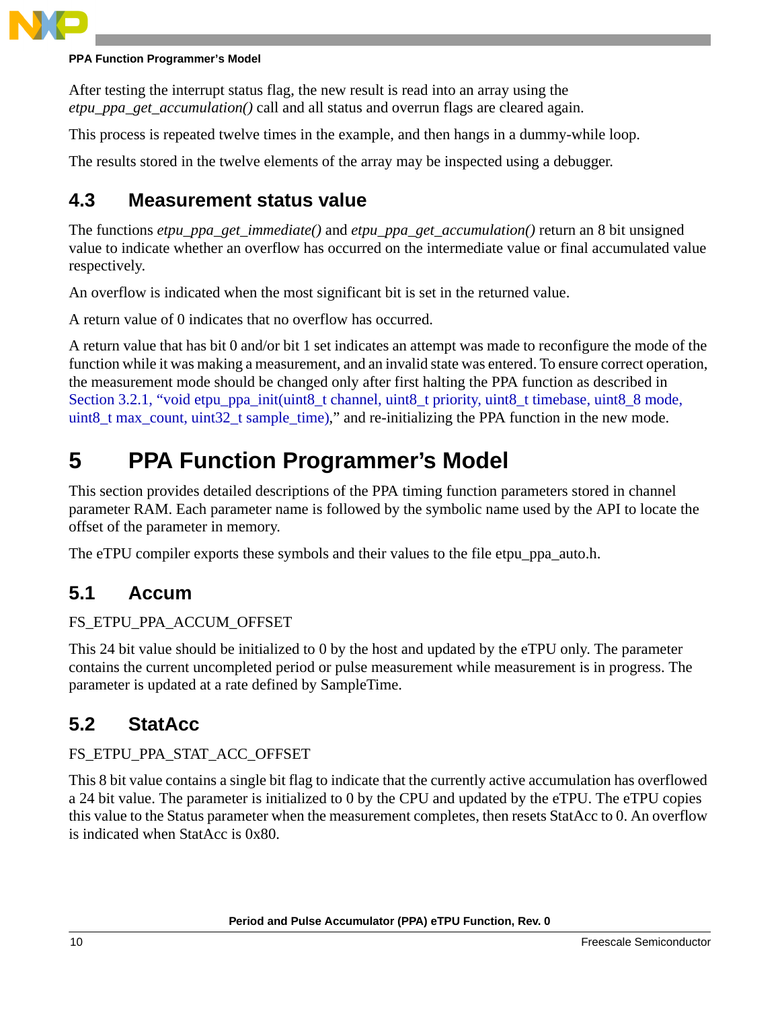

#### **PPA Function Programmer's Model**

After testing the interrupt status flag, the new result is read into an array using the *etpu\_ppa\_get\_accumulation()* call and all status and overrun flags are cleared again.

This process is repeated twelve times in the example, and then hangs in a dummy-while loop.

The results stored in the twelve elements of the array may be inspected using a debugger.

### <span id="page-9-0"></span>**4.3 Measurement status value**

The functions *etpu\_ppa\_get\_immediate()* and *etpu\_ppa\_get\_accumulation()* return an 8 bit unsigned value to indicate whether an overflow has occurred on the intermediate value or final accumulated value respectively.

An overflow is indicated when the most significant bit is set in the returned value.

A return value of 0 indicates that no overflow has occurred.

A return value that has bit 0 and/or bit 1 set indicates an attempt was made to reconfigure the mode of the function while it was making a measurement, and an invalid state was entered. To ensure correct operation, the measurement mode should be changed only after first halting the PPA function as described in Section 3.2.1, "void etpu\_ppa\_init(uint8\_t channel, uint8\_t priority, uint8\_t timebase, uint8\_8 mode, [uint8\\_t max\\_count, uint32\\_t sample\\_time\),](#page-6-0)" and re-initializing the PPA function in the new mode.

# <span id="page-9-1"></span>**5 PPA Function Programmer's Model**

This section provides detailed descriptions of the PPA timing function parameters stored in channel parameter RAM. Each parameter name is followed by the symbolic name used by the API to locate the offset of the parameter in memory.

The eTPU compiler exports these symbols and their values to the file etpu ppa auto.h.

### <span id="page-9-2"></span>**5.1 Accum**

#### FS\_ETPU\_PPA\_ACCUM\_OFFSET

This 24 bit value should be initialized to 0 by the host and updated by the eTPU only. The parameter contains the current uncompleted period or pulse measurement while measurement is in progress. The parameter is updated at a rate defined by SampleTime.

### <span id="page-9-3"></span>**5.2 StatAcc**

FS\_ETPU\_PPA\_STAT\_ACC\_OFFSET

This 8 bit value contains a single bit flag to indicate that the currently active accumulation has overflowed a 24 bit value. The parameter is initialized to 0 by the CPU and updated by the eTPU. The eTPU copies this value to the Status parameter when the measurement completes, then resets StatAcc to 0. An overflow is indicated when StatAcc is 0x80.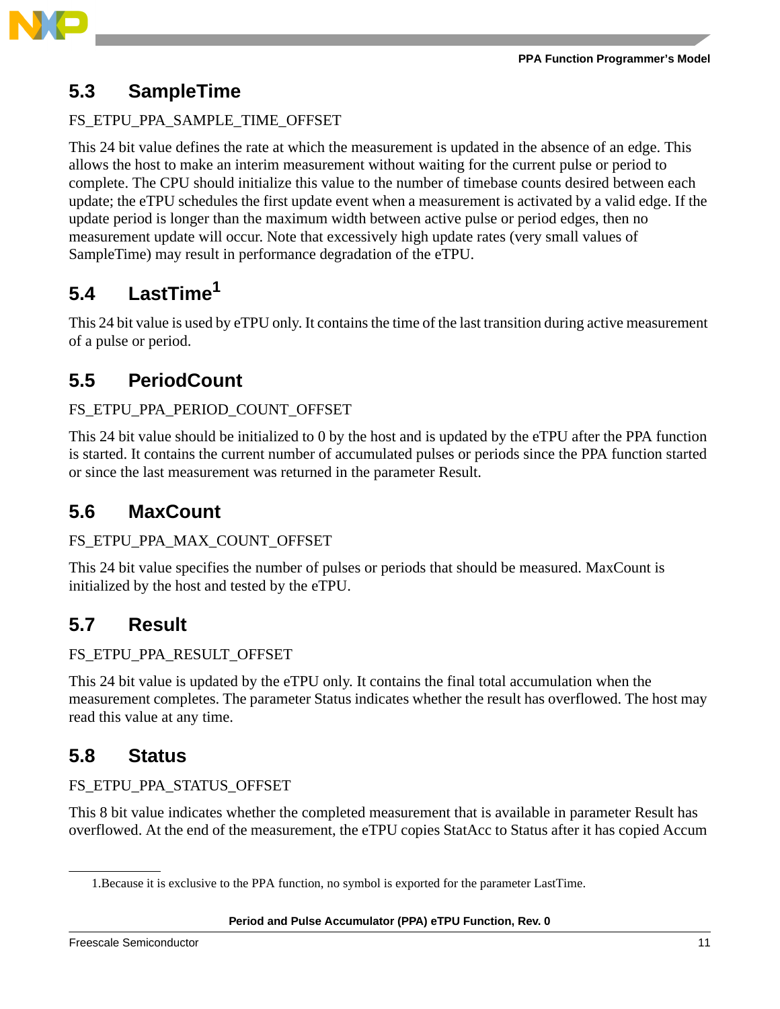

### <span id="page-10-0"></span>**5.3 SampleTime**

#### FS\_ETPU\_PPA\_SAMPLE\_TIME\_OFFSET

This 24 bit value defines the rate at which the measurement is updated in the absence of an edge. This allows the host to make an interim measurement without waiting for the current pulse or period to complete. The CPU should initialize this value to the number of timebase counts desired between each update; the eTPU schedules the first update event when a measurement is activated by a valid edge. If the update period is longer than the maximum width between active pulse or period edges, then no measurement update will occur. Note that excessively high update rates (very small values of SampleTime) may result in performance degradation of the eTPU.

## <span id="page-10-1"></span>**5.4 LastTime<sup>1</sup>**

This 24 bit value is used by eTPU only. It contains the time of the last transition during active measurement of a pulse or period.

### <span id="page-10-2"></span>**5.5 PeriodCount**

#### FS\_ETPU\_PPA\_PERIOD\_COUNT\_OFFSET

This 24 bit value should be initialized to 0 by the host and is updated by the eTPU after the PPA function is started. It contains the current number of accumulated pulses or periods since the PPA function started or since the last measurement was returned in the parameter [Result](#page-10-4).

### <span id="page-10-3"></span>**5.6 MaxCount**

#### FS\_ETPU\_PPA\_MAX\_COUNT\_OFFSET

This 24 bit value specifies the number of pulses or periods that should be measured. MaxCount is initialized by the host and tested by the eTPU.

### <span id="page-10-4"></span>**5.7 Result**

#### FS\_ETPU\_PPA\_RESULT\_OFFSET

This 24 bit value is updated by the eTPU only. It contains the final total accumulation when the measurement completes. The parameter [Status](#page-10-5) indicates whether the result has overflowed. The host may read this value at any time.

### <span id="page-10-5"></span>**5.8 Status**

#### FS\_ETPU\_PPA\_STATUS\_OFFSET

This 8 bit value indicates whether the completed measurement that is available in parameter [Result](#page-10-4) has overflowed. At the end of the measurement, the eTPU copies [StatAcc](#page-9-3) to [Status](#page-10-5) after it has copied [Accum](#page-9-2)

<sup>1.</sup>Because it is exclusive to the PPA function, no symbol is exported for the parameter LastTime.